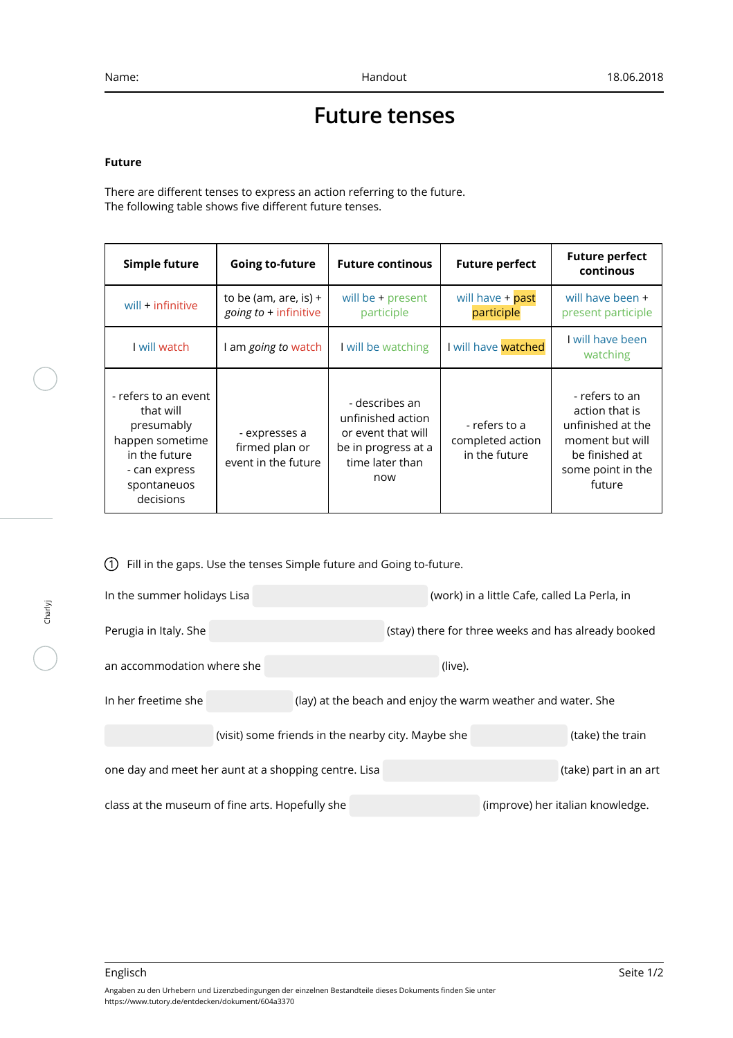## **Future tenses**

## **Future**

There are different tenses to express an action referring to the future. The following table shows five different future tenses.

| Simple future                                                                                                                    | <b>Going to-future</b>                                 | <b>Future continous</b>                                                                                    | <b>Future perfect</b>                              | <b>Future perfect</b><br>continous                                                                                        |
|----------------------------------------------------------------------------------------------------------------------------------|--------------------------------------------------------|------------------------------------------------------------------------------------------------------------|----------------------------------------------------|---------------------------------------------------------------------------------------------------------------------------|
| will + infinitive                                                                                                                | to be (am, are, is) $+$<br>going to + infinitive       | will be $+$ present<br>participle                                                                          | will have + past<br>participle                     | will have been +<br>present participle                                                                                    |
| I will watch                                                                                                                     | am going to watch                                      | I will be watching                                                                                         | I will have watched                                | I will have been<br>watching                                                                                              |
| - refers to an event<br>that will<br>presumably<br>happen sometime<br>in the future<br>- can express<br>spontaneuos<br>decisions | - expresses a<br>firmed plan or<br>event in the future | - describes an<br>unfinished action<br>or event that will<br>be in progress at a<br>time later than<br>now | - refers to a<br>completed action<br>in the future | - refers to an<br>action that is<br>unfinished at the<br>moment but will<br>be finished at<br>some point in the<br>future |

1 Fill in the gaps. Use the tenses Simple future and Going to-future.

| In the summer holidays Lisa                          |                                                    | (work) in a little Cafe, called La Perla, in                 |                                                     |  |  |
|------------------------------------------------------|----------------------------------------------------|--------------------------------------------------------------|-----------------------------------------------------|--|--|
| Perugia in Italy. She                                |                                                    |                                                              | (stay) there for three weeks and has already booked |  |  |
| an accommodation where she                           |                                                    | (live).                                                      |                                                     |  |  |
| In her freetime she                                  |                                                    | (lay) at the beach and enjoy the warm weather and water. She |                                                     |  |  |
|                                                      | (visit) some friends in the nearby city. Maybe she |                                                              | (take) the train                                    |  |  |
| one day and meet her aunt at a shopping centre. Lisa | (take) part in an art                              |                                                              |                                                     |  |  |
| class at the museum of fine arts. Hopefully she      |                                                    |                                                              | (improve) her italian knowledge.                    |  |  |